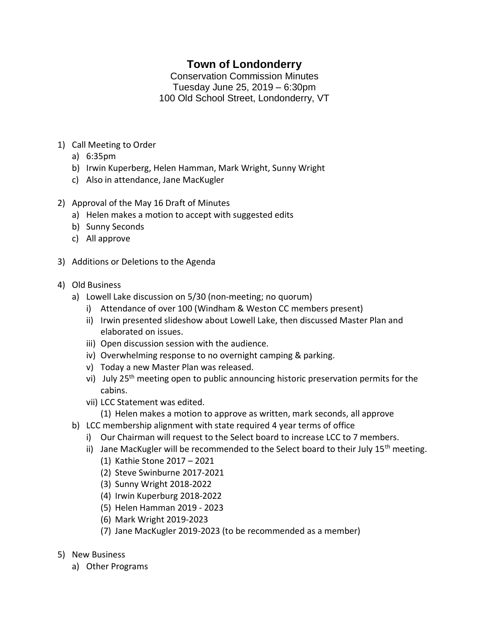## **Town of Londonderry**

Conservation Commission Minutes Tuesday June 25, 2019 – 6:30pm 100 Old School Street, Londonderry, VT

- 1) Call Meeting to Order
	- a) 6:35pm
	- b) Irwin Kuperberg, Helen Hamman, Mark Wright, Sunny Wright
	- c) Also in attendance, Jane MacKugler
- 2) Approval of the May 16 Draft of Minutes
	- a) Helen makes a motion to accept with suggested edits
	- b) Sunny Seconds
	- c) All approve
- 3) Additions or Deletions to the Agenda
- 4) Old Business
	- a) Lowell Lake discussion on 5/30 (non-meeting; no quorum)
		- i) Attendance of over 100 (Windham & Weston CC members present)
		- ii) Irwin presented slideshow about Lowell Lake, then discussed Master Plan and elaborated on issues.
		- iii) Open discussion session with the audience.
		- iv) Overwhelming response to no overnight camping & parking.
		- v) Today a new Master Plan was released.
		- vi) July  $25<sup>th</sup>$  meeting open to public announcing historic preservation permits for the cabins.
		- vii) LCC Statement was edited.
			- (1) Helen makes a motion to approve as written, mark seconds, all approve
	- b) LCC membership alignment with state required 4 year terms of office
		- i) Our Chairman will request to the Select board to increase LCC to 7 members.
		- ii) Jane MacKugler will be recommended to the Select board to their July  $15<sup>th</sup>$  meeting.
			- (1) Kathie Stone 2017 2021
			- (2) Steve Swinburne 2017-2021
			- (3) Sunny Wright 2018-2022
			- (4) Irwin Kuperburg 2018-2022
			- (5) Helen Hamman 2019 2023
			- (6) Mark Wright 2019-2023
			- (7) Jane MacKugler 2019-2023 (to be recommended as a member)
- 5) New Business
	- a) Other Programs